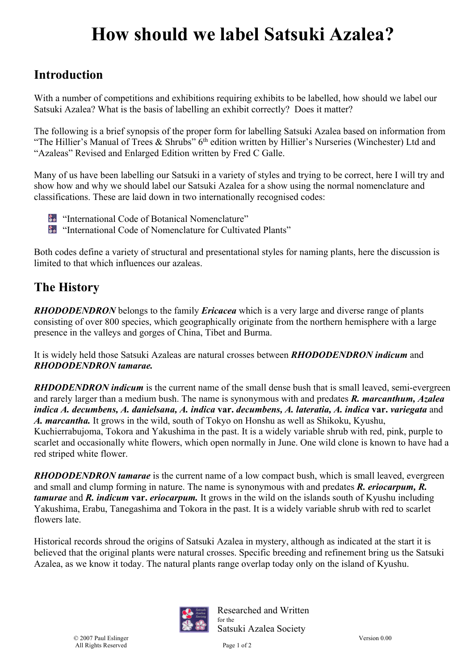# **How should we label Satsuki Azalea?**

#### **Introduction**

With a number of competitions and exhibitions requiring exhibits to be labelled, how should we label our Satsuki Azalea? What is the basis of labelling an exhibit correctly? Does it matter?

The following is a brief synopsis of the proper form for labelling Satsuki Azalea based on information from "The Hillier's Manual of Trees & Shrubs"  $6<sup>th</sup>$  edition written by Hillier's Nurseries (Winchester) Ltd and "Azaleas" Revised and Enlarged Edition written by Fred C Galle.

Many of us have been labelling our Satsuki in a variety of styles and trying to be correct, here I will try and show how and why we should label our Satsuki Azalea for a show using the normal nomenclature and classifications. These are laid down in two internationally recognised codes:

- "International Code of Botanical Nomenclature"
- "International Code of Nomenclature for Cultivated Plants"

Both codes define a variety of structural and presentational styles for naming plants, here the discussion is limited to that which influences our azaleas.

### **The History**

*RHODODENDRON* belongs to the family *Ericacea* which is a very large and diverse range of plants consisting of over 800 species, which geographically originate from the northern hemisphere with a large presence in the valleys and gorges of China, Tibet and Burma.

It is widely held those Satsuki Azaleas are natural crosses between *RHODODENDRON indicum* and *RHODODENDRON tamarae.* 

*RHDODENDRON indicum* is the current name of the small dense bush that is small leaved, semi-evergreen and rarely larger than a medium bush. The name is synonymous with and predates *R. marcanthum, Azalea indica A. decumbens, A. danielsana, A. indica* **var.** *decumbens, A. lateratia, A. indica* **var.** *variegata* and *A. marcantha.* It grows in the wild, south of Tokyo on Honshu as well as Shikoku, Kyushu, Kuchierrabujoma, Tokora and Yakushima in the past. It is a widely variable shrub with red, pink, purple to scarlet and occasionally white flowers, which open normally in June. One wild clone is known to have had a red striped white flower.

*RHODODENDRON tamarae* is the current name of a low compact bush, which is small leaved, evergreen and small and clump forming in nature. The name is synonymous with and predates *R. eriocarpum, R. tamurae* and *R. indicum* **var.** *eriocarpum.* It grows in the wild on the islands south of Kyushu including Yakushima, Erabu, Tanegashima and Tokora in the past. It is a widely variable shrub with red to scarlet flowers late.

Historical records shroud the origins of Satsuki Azalea in mystery, although as indicated at the start it is believed that the original plants were natural crosses. Specific breeding and refinement bring us the Satsuki Azalea, as we know it today. The natural plants range overlap today only on the island of Kyushu.



Researched and Written for the Satsuki Azalea Society